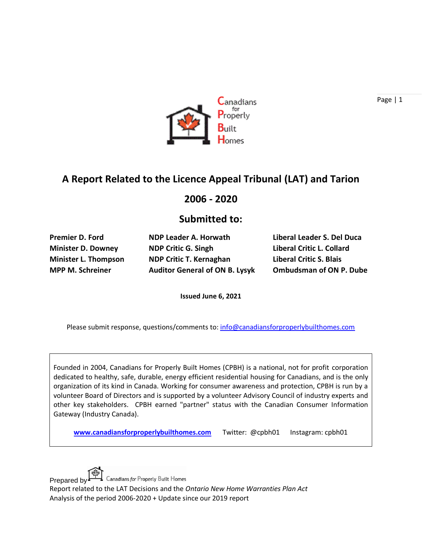

# **A Report Related to the Licence Appeal Tribunal (LAT) and Tarion**

#### **2006 - 2020**

#### **Submitted to:**

**Minister D. Downey NDP Critic G. Singh Liberal Critic L. Collard Minister L. Thompson NDP Critic T. Kernaghan Liberal Critic S. Blais MPP M. Schreiner Auditor General of ON B. Lysyk Ombudsman of ON P. Dube**

**Premier D. Ford NDP Leader A. Horwath Liberal Leader S. Del Duca**

**Issued June 6, 2021**

Please submit response, questions/comments to: [info@canadiansforproperlybuilthomes.com](mailto:info@canadiansforproperlybuilthomes.com)

Founded in 2004, Canadians for Properly Built Homes (CPBH) is a national, not for profit corporation dedicated to healthy, safe, durable, energy efficient residential housing for Canadians, and is the only organization of its kind in Canada. Working for consumer awareness and protection, CPBH is run by a volunteer Board of Directors and is supported by a volunteer Advisory Council of industry experts and other key stakeholders. CPBH earned "partner" status with the Canadian Consumer Information Gateway (Industry Canada).

**[www.canadiansforproperlybuilthomes.com](http://www.canadiansforproperlybuilthomes.com/)** Twitter: @cpbh01 Instagram: cpbh01



Prepared by ET Canadians for Properly Built Homes

Report related to the LAT Decisions and the *Ontario New Home Warranties Plan Act* Analysis of the period 2006-2020 + Update since our 2019 report

Page | 1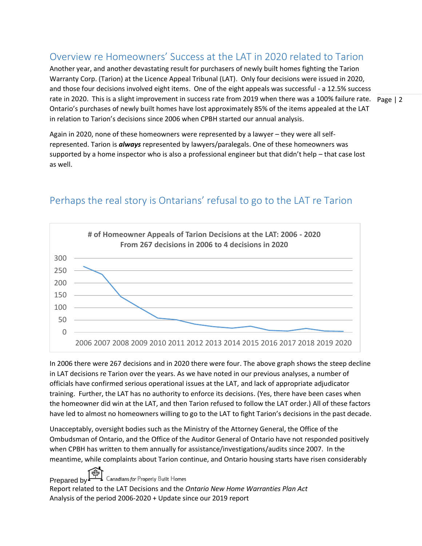### Overview re Homeowners' Success at the LAT in 2020 related to Tarion

rate in 2020. This is a slight improvement in success rate from 2019 when there was a 100% failure rate. Page | 2 Another year, and another devastating result for purchasers of newly built homes fighting the Tarion Warranty Corp. (Tarion) at the Licence Appeal Tribunal (LAT). Only four decisions were issued in 2020, and those four decisions involved eight items. One of the eight appeals was successful - a 12.5% success Ontario's purchases of newly built homes have lost approximately 85% of the items appealed at the LAT in relation to Tarion's decisions since 2006 when CPBH started our annual analysis.

Again in 2020, none of these homeowners were represented by a lawyer – they were all selfrepresented. Tarion is *always* represented by lawyers/paralegals. One of these homeowners was supported by a home inspector who is also a professional engineer but that didn't help – that case lost as well.



# Perhaps the real story is Ontarians' refusal to go to the LAT re Tarion

In 2006 there were 267 decisions and in 2020 there were four. The above graph shows the steep decline in LAT decisions re Tarion over the years. As we have noted in our previous analyses, a number of officials have confirmed serious operational issues at the LAT, and lack of appropriate adjudicator training. Further, the LAT has no authority to enforce its decisions. (Yes, there have been cases when the homeowner did win at the LAT, and then Tarion refused to follow the LAT order.) All of these factors have led to almost no homeowners willing to go to the LAT to fight Tarion's decisions in the past decade.

Unacceptably, oversight bodies such as the Ministry of the Attorney General, the Office of the Ombudsman of Ontario, and the Office of the Auditor General of Ontario have not responded positively when CPBH has written to them annually for assistance/investigations/audits since 2007. In the meantime, while complaints about Tarion continue, and Ontario housing starts have risen considerably

Prepared by ET Canadians for Properly Built Homes

Report related to the LAT Decisions and the *Ontario New Home Warranties Plan Act* Analysis of the period 2006-2020 + Update since our 2019 report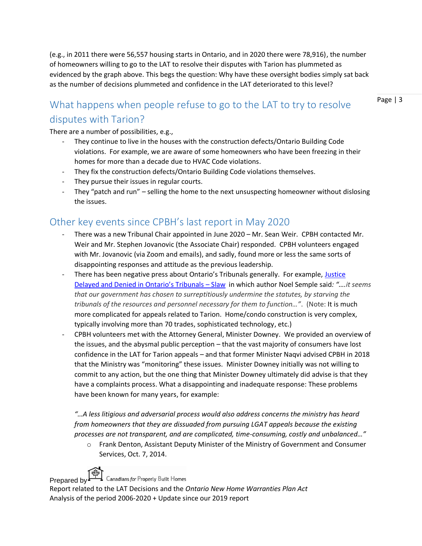(e.g., in 2011 there were 56,557 housing starts in Ontario, and in 2020 there were 78,916), the number of homeowners willing to go to the LAT to resolve their disputes with Tarion has plummeted as evidenced by the graph above. This begs the question: Why have these oversight bodies simply sat back as the number of decisions plummeted and confidence in the LAT deteriorated to this level?

# What happens when people refuse to go to the LAT to try to resolve disputes with Tarion?

There are a number of possibilities, e.g.,

- They continue to live in the houses with the construction defects/Ontario Building Code violations. For example, we are aware of some homeowners who have been freezing in their homes for more than a decade due to HVAC Code violations.
- They fix the construction defects/Ontario Building Code violations themselves.
- They pursue their issues in regular courts.
- They "patch and run" selling the home to the next unsuspecting homeowner without dislosing the issues.

#### Other key events since CPBH's last report in May 2020

- There was a new Tribunal Chair appointed in June 2020 Mr. Sean Weir. CPBH contacted Mr. Weir and Mr. Stephen Jovanovic (the Associate Chair) responded. CPBH volunteers engaged with Mr. Jovanovic (via Zoom and emails), and sadly, found more or less the same sorts of disappointing responses and attitude as the previous leadership.
- There has been negative press about Ontario's Tribunals generally. For example, [Justice](https://www.slaw.ca/2021/02/16/justice-delayed-and-denied-in-ontarios-tribunals/)  [Delayed and Denied in Ontario's Tribunals –](https://www.slaw.ca/2021/02/16/justice-delayed-and-denied-in-ontarios-tribunals/) Slaw in which author Noel Semple said*: "….it seems that our government has chosen to surreptitiously undermine the statutes, by starving the tribunals of the resources and personnel necessary for them to function…"*. (Note: It is much more complicated for appeals related to Tarion. Home/condo construction is very complex, typically involving more than 70 trades, sophisticated technology, etc.)
- CPBH volunteers met with the Attorney General, Minister Downey. We provided an overview of the issues, and the abysmal public perception – that the vast majority of consumers have lost confidence in the LAT for Tarion appeals – and that former Minister Naqvi advised CPBH in 2018 that the Ministry was "monitoring" these issues. Minister Downey initially was not willing to commit to any action, but the one thing that Minister Downey ultimately did advise is that they have a complaints process. What a disappointing and inadequate response: These problems have been known for many years, for example:

*"…A less litigious and adversarial process would also address concerns the ministry has heard from homeowners that they are dissuaded from pursuing LGAT appeals because the existing processes are not transparent, and are complicated, time-consuming, costly and unbalanced…"*

o Frank Denton, Assistant Deputy Minister of the Ministry of Government and Consumer Services, Oct. 7, 2014.



Prepared by Canadians for Properly Built Homes

Report related to the LAT Decisions and the *Ontario New Home Warranties Plan Act* Analysis of the period 2006-2020 + Update since our 2019 report

Page | 3